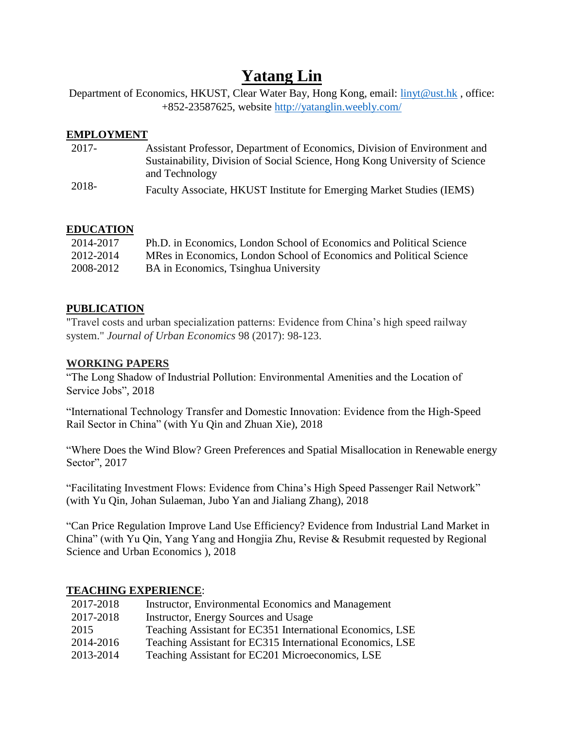# **Yatang Lin**

Department of Economics, HKUST, Clear Water Bay, Hong Kong, email: [linyt@ust.hk](mailto:linyt@ust.hk), office: +852-23587625, website<http://yatanglin.weebly.com/>

#### **EMPLOYMENT**

| 2017- | Assistant Professor, Department of Economics, Division of Environment and   |
|-------|-----------------------------------------------------------------------------|
|       | Sustainability, Division of Social Science, Hong Kong University of Science |
| 2018- | and Technology                                                              |
|       | Faculty Associate, HKUST Institute for Emerging Market Studies (IEMS)       |

# **EDUCATION**

| 2014-2017 | Ph.D. in Economics, London School of Economics and Political Science |
|-----------|----------------------------------------------------------------------|
| 2012-2014 | MRes in Economics, London School of Economics and Political Science  |
| 2008-2012 | BA in Economics, Tsinghua University                                 |

# **PUBLICATION**

"Travel costs and urban specialization patterns: Evidence from China's high speed railway system." *Journal of Urban Economics* 98 (2017): 98-123.

### **WORKING PAPERS**

"The Long Shadow of Industrial Pollution: Environmental Amenities and the Location of Service Jobs", 2018

"International Technology Transfer and Domestic Innovation: Evidence from the High-Speed Rail Sector in China" (with Yu Qin and Zhuan Xie), 2018

"Where Does the Wind Blow? Green Preferences and Spatial Misallocation in Renewable energy Sector", 2017

"Facilitating Investment Flows: Evidence from China's High Speed Passenger Rail Network" (with Yu Qin, Johan Sulaeman, Jubo Yan and Jialiang Zhang), 2018

"Can Price Regulation Improve Land Use Efficiency? Evidence from Industrial Land Market in China" (with Yu Qin, Yang Yang and Hongjia Zhu, Revise & Resubmit requested by Regional Science and Urban Economics ), 2018

# **TEACHING EXPERIENCE**:

| 2017-2018 | Instructor, Environmental Economics and Management        |
|-----------|-----------------------------------------------------------|
| 2017-2018 | Instructor, Energy Sources and Usage                      |
| 2015      | Teaching Assistant for EC351 International Economics, LSE |
| 2014-2016 | Teaching Assistant for EC315 International Economics, LSE |
| 2013-2014 | Teaching Assistant for EC201 Microeconomics, LSE          |